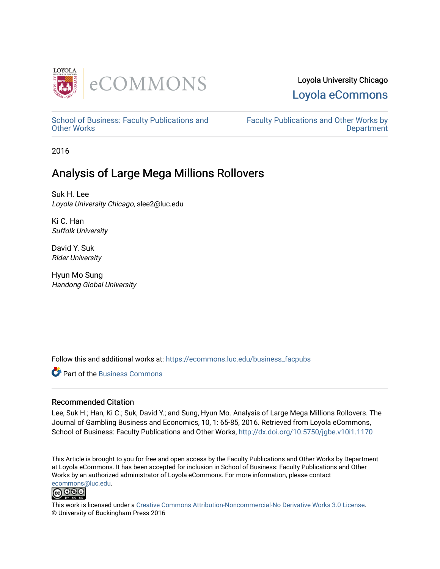

# Loyola University Chicago [Loyola eCommons](https://ecommons.luc.edu/)

[School of Business: Faculty Publications and](https://ecommons.luc.edu/business_facpubs) [Other Works](https://ecommons.luc.edu/business_facpubs)

[Faculty Publications and Other Works by](https://ecommons.luc.edu/faculty)  **Department** 

2016

# Analysis of Large Mega Millions Rollovers

Suk H. Lee Loyola University Chicago, slee2@luc.edu

Ki C. Han Suffolk University

David Y. Suk Rider University

Hyun Mo Sung Handong Global University

Follow this and additional works at: [https://ecommons.luc.edu/business\\_facpubs](https://ecommons.luc.edu/business_facpubs?utm_source=ecommons.luc.edu%2Fbusiness_facpubs%2F151&utm_medium=PDF&utm_campaign=PDFCoverPages) 

**C** Part of the [Business Commons](http://network.bepress.com/hgg/discipline/622?utm_source=ecommons.luc.edu%2Fbusiness_facpubs%2F151&utm_medium=PDF&utm_campaign=PDFCoverPages)

# Recommended Citation

Lee, Suk H.; Han, Ki C.; Suk, David Y.; and Sung, Hyun Mo. Analysis of Large Mega Millions Rollovers. The Journal of Gambling Business and Economics, 10, 1: 65-85, 2016. Retrieved from Loyola eCommons, School of Business: Faculty Publications and Other Works,<http://dx.doi.org/10.5750/jgbe.v10i1.1170>

This Article is brought to you for free and open access by the Faculty Publications and Other Works by Department at Loyola eCommons. It has been accepted for inclusion in School of Business: Faculty Publications and Other Works by an authorized administrator of Loyola eCommons. For more information, please contact [ecommons@luc.edu](mailto:ecommons@luc.edu).



This work is licensed under a [Creative Commons Attribution-Noncommercial-No Derivative Works 3.0 License.](https://creativecommons.org/licenses/by-nc-nd/3.0/) © University of Buckingham Press 2016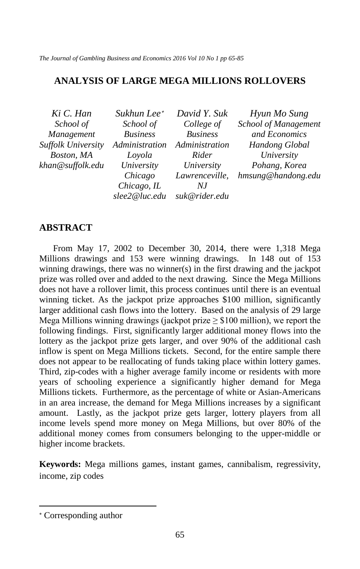*The Journal of Gambling Business and Economics 2016 Vol 10 No 1 pp 65-85*

# **ANALYSIS OF LARGE MEGA MILLIONS ROLLOVERS**

| Ki C. Han                 | Sukhun Lee*     | David Y. Suk    | Hyun Mo Sung                |
|---------------------------|-----------------|-----------------|-----------------------------|
| School of                 | School of       | College of      | <b>School of Management</b> |
| Management                | <b>Business</b> | <b>Business</b> | and Economics               |
| <b>Suffolk University</b> | Administration  | Administration  | Handong Global              |
| Boston, MA                | Loyola          | Rider           | University                  |
| khan@suffolk.edu          | University      | University      | Pohang, Korea               |
|                           | Chicago         | Lawrenceville,  | hmsung@handong.edu          |
|                           | Chicago, IL     | N.I             |                             |
|                           | slee2@luc.edu   | suk@rider.edu   |                             |

# **ABSTRACT**

From May 17, 2002 to December 30, 2014, there were 1,318 Mega Millions drawings and 153 were winning drawings. In 148 out of 153 winning drawings, there was no winner(s) in the first drawing and the jackpot prize was rolled over and added to the next drawing. Since the Mega Millions does not have a rollover limit, this process continues until there is an eventual winning ticket. As the jackpot prize approaches \$100 million, significantly larger additional cash flows into the lottery. Based on the analysis of 29 large Mega Millions winning drawings (jackpot prize  $\geq$  \$100 million), we report the following findings. First, significantly larger additional money flows into the lottery as the jackpot prize gets larger, and over 90% of the additional cash inflow is spent on Mega Millions tickets. Second, for the entire sample there does not appear to be reallocating of funds taking place within lottery games. Third, zip-codes with a higher average family income or residents with more years of schooling experience a significantly higher demand for Mega Millions tickets. Furthermore, as the percentage of white or Asian-Americans in an area increase, the demand for Mega Millions increases by a significant amount. Lastly, as the jackpot prize gets larger, lottery players from all income levels spend more money on Mega Millions, but over 80% of the additional money comes from consumers belonging to the upper-middle or higher income brackets.

**Keywords:** Mega millions games, instant games, cannibalism, regressivity, income, zip codes

 $\ddot{\phantom{a}}$ 

<span id="page-1-0"></span><sup>∗</sup> Corresponding author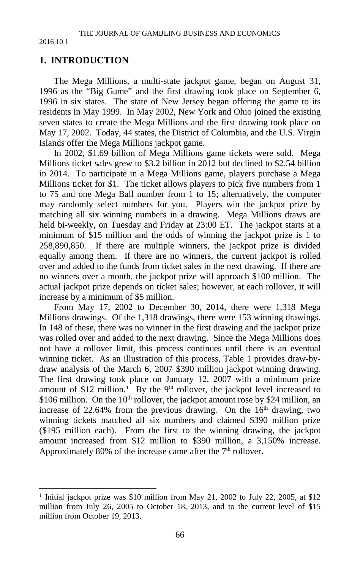# **1. INTRODUCTION**

The Mega Millions, a multi-state jackpot game, began on August 31, 1996 as the "Big Game" and the first drawing took place on September 6, 1996 in six states. The state of New Jersey began offering the game to its residents in May 1999. In May 2002, New York and Ohio joined the existing seven states to create the Mega Millions and the first drawing took place on May 17, 2002. Today, 44 states, the District of Columbia, and the U.S. Virgin Islands offer the Mega Millions jackpot game.

In 2002, \$1.69 billion of Mega Millions game tickets were sold. Mega Millions ticket sales grew to \$3.2 billion in 2012 but declined to \$2.54 billion in 2014. To participate in a Mega Millions game, players purchase a Mega Millions ticket for \$1. The ticket allows players to pick five numbers from 1 to 75 and one Mega Ball number from 1 to 15; alternatively, the computer may randomly select numbers for you. Players win the jackpot prize by matching all six winning numbers in a drawing. Mega Millions draws are held bi-weekly, on Tuesday and Friday at 23:00 ET. The jackpot starts at a minimum of \$15 million and the odds of winning the jackpot prize is 1 to 258,890,850. If there are multiple winners, the jackpot prize is divided equally among them. If there are no winners, the current jackpot is rolled over and added to the funds from ticket sales in the next drawing. If there are no winners over a month, the jackpot prize will approach \$100 million. The actual jackpot prize depends on ticket sales; however, at each rollover, it will increase by a minimum of \$5 million.

From May 17, 2002 to December 30, 2014, there were 1,318 Mega Millions drawings. Of the 1,318 drawings, there were 153 winning drawings. In 148 of these, there was no winner in the first drawing and the jackpot prize was rolled over and added to the next drawing. Since the Mega Millions does not have a rollover limit, this process continues until there is an eventual winning ticket. As an illustration of this process, Table 1 provides draw-bydraw analysis of the March 6, 2007 \$390 million jackpot winning drawing. The first drawing took place on January 12, 2007 with a minimum prize amount of \$[1](#page-2-0)2 million.<sup>1</sup> By the 9<sup>th</sup> rollover, the jackpot level increased to \$106 million. On the  $10<sup>th</sup>$  rollover, the jackpot amount rose by \$24 million, an increase of 22.64% from the previous drawing. On the  $16<sup>th</sup>$  drawing, two winning tickets matched all six numbers and claimed \$390 million prize (\$195 million each). From the first to the winning drawing, the jackpot amount increased from \$12 million to \$390 million, a 3,150% increase. Approximately 80% of the increase came after the  $7<sup>th</sup>$  rollover.

<span id="page-2-0"></span><sup>&</sup>lt;sup>1</sup> Initial jackpot prize was \$10 million from May 21, 2002 to July 22, 2005, at \$12 million from July 26, 2005 to October 18, 2013, and to the current level of \$15 million from October 19, 2013.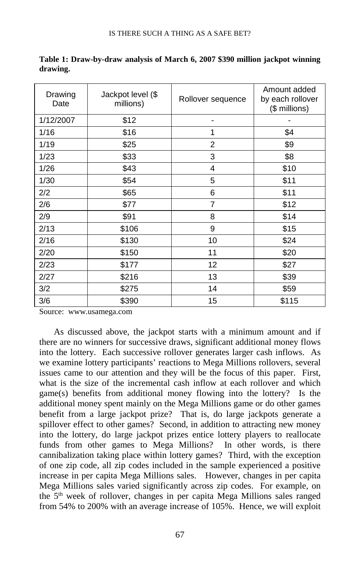| Drawing<br>Date | Jackpot level (\$<br>millions) | Rollover sequence | Amount added<br>by each rollover<br>(\$ millions) |
|-----------------|--------------------------------|-------------------|---------------------------------------------------|
| 1/12/2007       | \$12                           |                   |                                                   |
| 1/16            | \$16                           | 1                 | \$4                                               |
| 1/19            | \$25                           | 2                 | \$9                                               |
| 1/23            | \$33                           | 3                 | \$8                                               |
| 1/26            | \$43                           | 4                 | \$10                                              |
| 1/30            | \$54                           | 5                 | \$11                                              |
| 2/2             | \$65                           | 6                 | \$11                                              |
| 2/6             | \$77                           | 7                 | \$12                                              |
| 2/9             | \$91                           | 8                 | \$14                                              |
| 2/13            | \$106                          | 9                 | \$15                                              |
| 2/16            | \$130                          | 10                | \$24                                              |
| 2/20            | \$150                          | 11                | \$20                                              |
| 2/23            | \$177                          | 12                | \$27                                              |
| 2/27            | \$216                          | 13                | \$39                                              |
| 3/2             | \$275                          | 14                | \$59                                              |
| 3/6             | \$390                          | 15                | \$115                                             |

**Table 1: Draw-by-draw analysis of March 6, 2007 \$390 million jackpot winning drawing.**

Source: www.usamega.com

As discussed above, the jackpot starts with a minimum amount and if there are no winners for successive draws, significant additional money flows into the lottery. Each successive rollover generates larger cash inflows. As we examine lottery participants' reactions to Mega Millions rollovers, several issues came to our attention and they will be the focus of this paper. First, what is the size of the incremental cash inflow at each rollover and which game(s) benefits from additional money flowing into the lottery? Is the additional money spent mainly on the Mega Millions game or do other games benefit from a large jackpot prize? That is, do large jackpots generate a spillover effect to other games? Second, in addition to attracting new money into the lottery, do large jackpot prizes entice lottery players to reallocate funds from other games to Mega Millions? In other words, is there cannibalization taking place within lottery games? Third, with the exception of one zip code, all zip codes included in the sample experienced a positive increase in per capita Mega Millions sales. However, changes in per capita Mega Millions sales varied significantly across zip codes. For example, on the 5<sup>th</sup> week of rollover, changes in per capita Mega Millions sales ranged from 54% to 200% with an average increase of 105%. Hence, we will exploit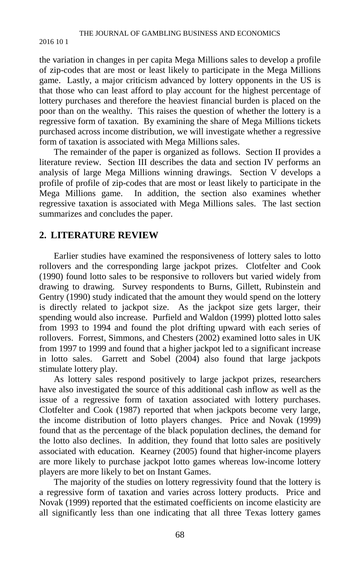the variation in changes in per capita Mega Millions sales to develop a profile of zip-codes that are most or least likely to participate in the Mega Millions game. Lastly, a major criticism advanced by lottery opponents in the US is that those who can least afford to play account for the highest percentage of lottery purchases and therefore the heaviest financial burden is placed on the poor than on the wealthy. This raises the question of whether the lottery is a regressive form of taxation. By examining the share of Mega Millions tickets purchased across income distribution, we will investigate whether a regressive form of taxation is associated with Mega Millions sales.

The remainder of the paper is organized as follows. Section II provides a literature review. Section III describes the data and section IV performs an analysis of large Mega Millions winning drawings. Section V develops a profile of profile of zip-codes that are most or least likely to participate in the Mega Millions game. In addition, the section also examines whether regressive taxation is associated with Mega Millions sales. The last section summarizes and concludes the paper.

# **2. LITERATURE REVIEW**

Earlier studies have examined the responsiveness of lottery sales to lotto rollovers and the corresponding large jackpot prizes. Clotfelter and Cook (1990) found lotto sales to be responsive to rollovers but varied widely from drawing to drawing. Survey respondents to Burns, Gillett, Rubinstein and Gentry (1990) study indicated that the amount they would spend on the lottery is directly related to jackpot size. As the jackpot size gets larger, their spending would also increase. Purfield and Waldon (1999) plotted lotto sales from 1993 to 1994 and found the plot drifting upward with each series of rollovers. Forrest, Simmons, and Chesters (2002) examined lotto sales in UK from 1997 to 1999 and found that a higher jackpot led to a significant increase in lotto sales. Garrett and Sobel (2004) also found that large jackpots stimulate lottery play.

As lottery sales respond positively to large jackpot prizes, researchers have also investigated the source of this additional cash inflow as well as the issue of a regressive form of taxation associated with lottery purchases. Clotfelter and Cook (1987) reported that when jackpots become very large, the income distribution of lotto players changes. Price and Novak (1999) found that as the percentage of the black population declines, the demand for the lotto also declines. In addition, they found that lotto sales are positively associated with education. Kearney (2005) found that higher-income players are more likely to purchase jackpot lotto games whereas low-income lottery players are more likely to bet on Instant Games.

The majority of the studies on lottery regressivity found that the lottery is a regressive form of taxation and varies across lottery products. Price and Novak (1999) reported that the estimated coefficients on income elasticity are all significantly less than one indicating that all three Texas lottery games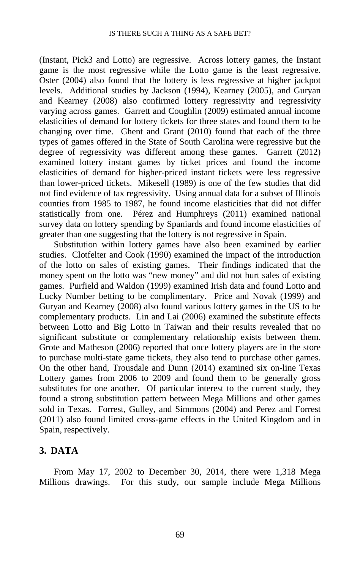(Instant, Pick3 and Lotto) are regressive. Across lottery games, the Instant game is the most regressive while the Lotto game is the least regressive. Oster (2004) also found that the lottery is less regressive at higher jackpot levels. Additional studies by Jackson (1994), Kearney (2005), and Guryan and Kearney (2008) also confirmed lottery regressivity and regressivity varying across games. Garrett and Coughlin (2009) estimated annual income elasticities of demand for lottery tickets for three states and found them to be changing over time. Ghent and Grant (2010) found that each of the three types of games offered in the State of South Carolina were regressive but the degree of regressivity was different among these games. Garrett (2012) examined lottery instant games by ticket prices and found the income elasticities of demand for higher-priced instant tickets were less regressive than lower-priced tickets. Mikesell (1989) is one of the few studies that did not find evidence of tax regressivity. Using annual data for a subset of Illinois counties from 1985 to 1987, he found income elasticities that did not differ statistically from one. Pérez and Humphreys (2011) examined national survey data on lottery spending by Spaniards and found income elasticities of greater than one suggesting that the lottery is not regressive in Spain.

Substitution within lottery games have also been examined by earlier studies. Clotfelter and Cook (1990) examined the impact of the introduction of the lotto on sales of existing games. Their findings indicated that the money spent on the lotto was "new money" and did not hurt sales of existing games. Purfield and Waldon (1999) examined Irish data and found Lotto and Lucky Number betting to be complimentary. Price and Novak (1999) and Guryan and Kearney (2008) also found various lottery games in the US to be complementary products. Lin and Lai (2006) examined the substitute effects between Lotto and Big Lotto in Taiwan and their results revealed that no significant substitute or complementary relationship exists between them. Grote and Matheson (2006) reported that once lottery players are in the store to purchase multi-state game tickets, they also tend to purchase other games. On the other hand, Trousdale and Dunn (2014) examined six on-line Texas Lottery games from 2006 to 2009 and found them to be generally gross substitutes for one another. Of particular interest to the current study, they found a strong substitution pattern between Mega Millions and other games sold in Texas. Forrest, Gulley, and Simmons (2004) and Perez and Forrest (2011) also found limited cross-game effects in the United Kingdom and in Spain, respectively.

# **3. DATA**

From May 17, 2002 to December 30, 2014, there were 1,318 Mega Millions drawings. For this study, our sample include Mega Millions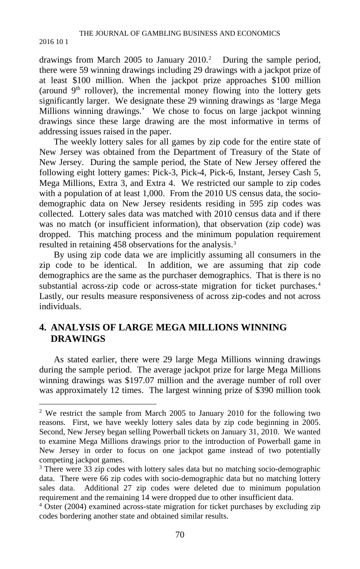drawings from March 2005 to January  $2010.<sup>2</sup>$  During the sample period, there were 59 winning drawings including 29 drawings with a jackpot prize of at least \$100 million. When the jackpot prize approaches \$100 million (around  $9<sup>th</sup>$  rollover), the incremental money flowing into the lottery gets significantly larger. We designate these 29 winning drawings as 'large Mega Millions winning drawings.' We chose to focus on large jackpot winning drawings since these large drawing are the most informative in terms of addressing issues raised in the paper.

The weekly lottery sales for all games by zip code for the entire state of New Jersey was obtained from the Department of Treasury of the State of New Jersey. During the sample period, the State of New Jersey offered the following eight lottery games: Pick-3, Pick-4, Pick-6, Instant, Jersey Cash 5, Mega Millions, Extra 3, and Extra 4. We restricted our sample to zip codes with a population of at least 1,000. From the 2010 US census data, the sociodemographic data on New Jersey residents residing in 595 zip codes was collected. Lottery sales data was matched with 2010 census data and if there was no match (or insufficient information), that observation (zip code) was dropped. This matching process and the minimum population requirement resulted in retaining 458 observations for the analysis.<sup>[3](#page-6-1)</sup>

By using zip code data we are implicitly assuming all consumers in the zip code to be identical. In addition, we are assuming that zip code demographics are the same as the purchaser demographics. That is there is no substantial across-zip code or across-state migration for ticket purchases.<sup>[4](#page-6-2)</sup> Lastly, our results measure responsiveness of across zip-codes and not across individuals.

# **4. ANALYSIS OF LARGE MEGA MILLIONS WINNING DRAWINGS**

As stated earlier, there were 29 large Mega Millions winning drawings during the sample period. The average jackpot prize for large Mega Millions winning drawings was \$197.07 million and the average number of roll over was approximately 12 times. The largest winning prize of \$390 million took

<span id="page-6-0"></span><sup>&</sup>lt;sup>2</sup> We restrict the sample from March 2005 to January 2010 for the following two reasons. First, we have weekly lottery sales data by zip code beginning in 2005. Second, New Jersey began selling Powerball tickets on January 31, 2010. We wanted to examine Mega Millions drawings prior to the introduction of Powerball game in New Jersey in order to focus on one jackpot game instead of two potentially competing jackpot games.

<span id="page-6-1"></span><sup>&</sup>lt;sup>3</sup> There were 33 zip codes with lottery sales data but no matching socio-demographic data. There were 66 zip codes with socio-demographic data but no matching lottery sales data. Additional 27 zip codes were deleted due to minimum population requirement and the remaining 14 were dropped due to other insufficient data.

<span id="page-6-2"></span><sup>4</sup> Oster (2004) examined across-state migration for ticket purchases by excluding zip codes bordering another state and obtained similar results.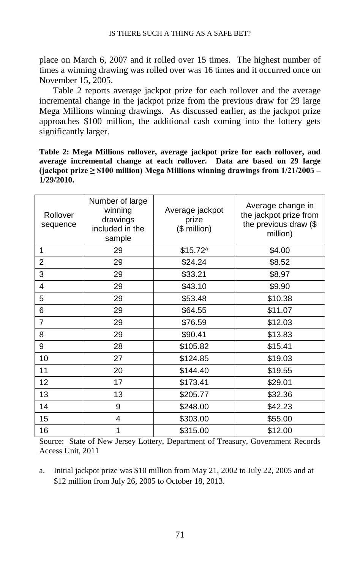place on March 6, 2007 and it rolled over 15 times. The highest number of times a winning drawing was rolled over was 16 times and it occurred once on November 15, 2005.

Table 2 reports average jackpot prize for each rollover and the average incremental change in the jackpot prize from the previous draw for 29 large Mega Millions winning drawings. As discussed earlier, as the jackpot prize approaches \$100 million, the additional cash coming into the lottery gets significantly larger.

**Table 2: Mega Millions rollover, average jackpot prize for each rollover, and average incremental change at each rollover. Data are based on 29 large (jackpot prize ≥ \$100 million) Mega Millions winning drawings from 1/21/2005 – 1/29/2010.**

| Rollover<br>sequence | Number of large<br>winning<br>drawings<br>included in the<br>sample | Average jackpot<br>prize<br>(\$ million) | Average change in<br>the jackpot prize from<br>the previous draw (\$<br>million) |
|----------------------|---------------------------------------------------------------------|------------------------------------------|----------------------------------------------------------------------------------|
| 1                    | 29                                                                  | \$15.72 <sup>a</sup>                     | \$4.00                                                                           |
| $\overline{2}$       | 29                                                                  | \$24.24                                  | \$8.52                                                                           |
| 3                    | 29                                                                  | \$33.21                                  | \$8.97                                                                           |
| 4                    | 29                                                                  | \$43.10                                  | \$9.90                                                                           |
| 5                    | 29                                                                  | \$53.48                                  | \$10.38                                                                          |
| 6                    | 29                                                                  | \$64.55                                  | \$11.07                                                                          |
| $\overline{7}$       | 29                                                                  | \$76.59                                  | \$12.03                                                                          |
| 8                    | 29                                                                  | \$90.41                                  | \$13.83                                                                          |
| 9                    | 28                                                                  | \$105.82                                 | \$15.41                                                                          |
| 10                   | 27                                                                  | \$124.85                                 | \$19.03                                                                          |
| 11                   | 20                                                                  | \$144.40                                 | \$19.55                                                                          |
| 12                   | 17                                                                  | \$173.41                                 | \$29.01                                                                          |
| 13                   | 13                                                                  | \$205.77                                 | \$32.36                                                                          |
| 14                   | 9                                                                   | \$248.00                                 | \$42.23                                                                          |
| 15                   | 4                                                                   | \$303.00                                 | \$55.00                                                                          |
| 16                   | 1                                                                   | \$315.00                                 | \$12.00                                                                          |

Source: State of New Jersey Lottery, Department of Treasury, Government Records Access Unit, 2011

a. Initial jackpot prize was \$10 million from May 21, 2002 to July 22, 2005 and at \$12 million from July 26, 2005 to October 18, 2013.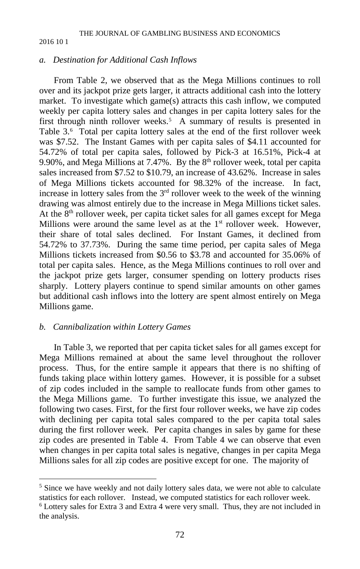## *a. Destination for Additional Cash Inflows*

From Table 2, we observed that as the Mega Millions continues to roll over and its jackpot prize gets larger, it attracts additional cash into the lottery market. To investigate which game(s) attracts this cash inflow, we computed weekly per capita lottery sales and changes in per capita lottery sales for the first through ninth rollover weeks.<sup>[5](#page-8-0)</sup> A summary of results is presented in Table 3.[6](#page-8-1) Total per capita lottery sales at the end of the first rollover week was \$7.52. The Instant Games with per capita sales of \$4.11 accounted for 54.72% of total per capita sales, followed by Pick-3 at 16.51%, Pick-4 at 9.90%, and Mega Millions at 7.47%. By the  $8<sup>th</sup>$  rollover week, total per capita sales increased from \$7.52 to \$10.79, an increase of 43.62%. Increase in sales of Mega Millions tickets accounted for 98.32% of the increase. In fact, increase in lottery sales from the  $3<sup>rd</sup>$  rollover week to the week of the winning drawing was almost entirely due to the increase in Mega Millions ticket sales. At the  $8<sup>th</sup>$  rollover week, per capita ticket sales for all games except for Mega Millions were around the same level as at the  $1<sup>st</sup>$  rollover week. However, their share of total sales declined. For Instant Games, it declined from 54.72% to 37.73%. During the same time period, per capita sales of Mega Millions tickets increased from \$0.56 to \$3.78 and accounted for 35.06% of total per capita sales. Hence, as the Mega Millions continues to roll over and the jackpot prize gets larger, consumer spending on lottery products rises sharply. Lottery players continue to spend similar amounts on other games but additional cash inflows into the lottery are spent almost entirely on Mega Millions game.

## *b. Cannibalization within Lottery Games*

In Table 3, we reported that per capita ticket sales for all games except for Mega Millions remained at about the same level throughout the rollover process. Thus, for the entire sample it appears that there is no shifting of funds taking place within lottery games. However, it is possible for a subset of zip codes included in the sample to reallocate funds from other games to the Mega Millions game. To further investigate this issue, we analyzed the following two cases. First, for the first four rollover weeks, we have zip codes with declining per capita total sales compared to the per capita total sales during the first rollover week. Per capita changes in sales by game for these zip codes are presented in Table 4. From Table 4 we can observe that even when changes in per capita total sales is negative, changes in per capita Mega Millions sales for all zip codes are positive except for one. The majority of

<span id="page-8-1"></span><span id="page-8-0"></span><sup>&</sup>lt;sup>5</sup> Since we have weekly and not daily lottery sales data, we were not able to calculate statistics for each rollover. Instead, we computed statistics for each rollover week.  $6$  Lottery sales for Extra 3 and Extra 4 were very small. Thus, they are not included in the analysis.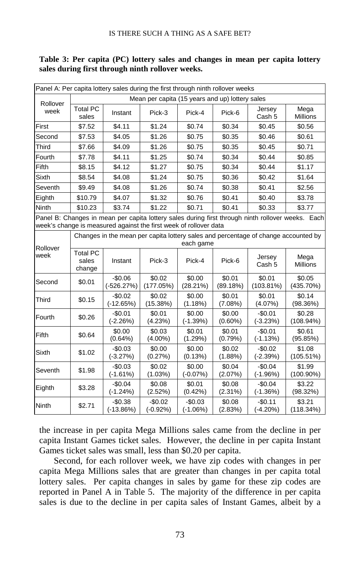| Panel A: Per capita lottery sales during the first through ninth rollover weeks |                                    |                                                                   |                                                 |                        |                      |                                                                                    |                                                                                                   |
|---------------------------------------------------------------------------------|------------------------------------|-------------------------------------------------------------------|-------------------------------------------------|------------------------|----------------------|------------------------------------------------------------------------------------|---------------------------------------------------------------------------------------------------|
| Rollover                                                                        |                                    |                                                                   | Mean per capita (15 years and up) lottery sales |                        |                      |                                                                                    |                                                                                                   |
| week                                                                            | <b>Total PC</b><br>sales           | Instant                                                           | Pick-3                                          | Pick-4                 | Pick-6               | Jersey<br>Cash <sub>5</sub>                                                        | Mega<br><b>Millions</b>                                                                           |
| First                                                                           | \$7.52                             | \$4.11                                                            | \$1.24                                          | \$0.74                 | \$0.34               | \$0.45                                                                             | \$0.56                                                                                            |
| Second                                                                          | \$7.53                             | \$4.05                                                            | \$1.26                                          | \$0.75                 | \$0.35               | \$0.46                                                                             | \$0.61                                                                                            |
| <b>Third</b>                                                                    | \$7.66                             | \$4.09                                                            | \$1.26                                          | \$0.75                 | \$0.35               | \$0.45                                                                             | \$0.71                                                                                            |
| Fourth                                                                          | \$7.78                             | \$4.11                                                            | \$1.25                                          | \$0.74                 | \$0.34               | \$0.44                                                                             | \$0.85                                                                                            |
| Fifth                                                                           | \$8.15                             | \$4.12                                                            | \$1.27                                          | \$0.75                 | \$0.34               | \$0.44                                                                             | \$1.17                                                                                            |
| Sixth                                                                           | \$8.54                             | \$4.08                                                            | \$1.24                                          | \$0.75                 | \$0.36               | \$0.42                                                                             | \$1.64                                                                                            |
| Seventh                                                                         | \$9.49                             | \$4.08                                                            | \$1.26                                          | \$0.74                 | \$0.38               | \$0.41                                                                             | \$2.56                                                                                            |
| Eighth                                                                          | \$10.79                            | \$4.07                                                            | \$1.32                                          | \$0.76                 | \$0.41               | \$0.40                                                                             | \$3.78                                                                                            |
| Ninth                                                                           | \$10.23                            | \$3.74                                                            | \$1.22                                          | \$0.71                 | \$0.41               | \$0.33                                                                             | \$3.77                                                                                            |
|                                                                                 |                                    | week's change is measured against the first week of rollover data |                                                 |                        |                      |                                                                                    | Panel B: Changes in mean per capita lottery sales during first through ninth rollover weeks. Each |
| Rollover                                                                        |                                    |                                                                   |                                                 | each game              |                      | Changes in the mean per capita lottery sales and percentage of change accounted by |                                                                                                   |
| week                                                                            | <b>Total PC</b><br>sales<br>change | Instant                                                           | Pick-3                                          | Pick-4                 | Pick-6               | Jersey<br>Cash 5                                                                   | Mega<br><b>Millions</b>                                                                           |
| Second                                                                          | \$0.01                             | $-$0.06$<br>$(-526.27%)$                                          | \$0.02<br>(177.05%)                             | \$0.00<br>(28.21%)     | \$0.01<br>(89.18%)   | \$0.01<br>$(103.81\%)$                                                             | \$0.05<br>(435.70%)                                                                               |
| <b>Third</b>                                                                    | \$0.15                             | $-$0.02$<br>$(-12.65%)$                                           | \$0.02<br>(15.38%)                              | \$0.00<br>(1.18%)      | \$0.01<br>(7.08%)    | \$0.01<br>$(4.07\%)$                                                               | \$0.14<br>(98.36%)                                                                                |
| Fourth                                                                          | \$0.26                             | $-$0.01$<br>$(-2.26%)$                                            | \$0.01<br>(4.23%)                               | \$0.00<br>$(-1.39%)$   | \$0.00<br>$(0.60\%)$ | $-$0.01$<br>$(-3.23%)$                                                             | \$0.28<br>$(108.94\%)$                                                                            |
| Fifth                                                                           | \$0.64                             | \$0.00<br>$(0.64\%)$                                              | \$0.03<br>$(4.00\%)$                            | \$0.01<br>(1.29%)      | \$0.01<br>(0.79%)    | $-$0.01$<br>$(-1.13%)$                                                             | \$0.61<br>(95.85%)                                                                                |
| Sixth                                                                           | \$1.02                             | $-$0.03$<br>$(-3.27%)$                                            | \$0.00<br>(0.27%)                               | \$0.00<br>(0.13%)      | \$0.02<br>$(1.88\%)$ | $-$0.02$<br>$(-2.39%)$                                                             | \$1.08<br>$(105.51\%)$                                                                            |
| Seventh                                                                         | \$1.98                             | $-$0.03$<br>$(-1.61%)$                                            | \$0.02<br>(1.03%)                               | \$0.00<br>$(-0.07%)$   | \$0.04<br>(2.07%)    | $-$0.04$<br>$(-1.96%)$                                                             | \$1.99<br>$(100.90\%)$                                                                            |
| Eighth                                                                          | \$3.28                             | $-$0.04$<br>$(-1.24%)$                                            | \$0.08<br>(2.52%)                               | \$0.01<br>(0.42%)      | \$0.08<br>(2.31%)    | $-$0.04$<br>$(-1.36%)$                                                             | \$3.22<br>(98.32%)                                                                                |
| Ninth                                                                           | \$2.71                             | $-$0.38$<br>$(-13.86%)$                                           | $-$0.02$<br>$(-0.92%)$                          | $-$0.03$<br>$(-1.06%)$ | \$0.08<br>(2.83%)    | $-$0.11$<br>$(-4.20%)$                                                             | \$3.21<br>(118.34%)                                                                               |

## **Table 3: Per capita (PC) lottery sales and changes in mean per capita lottery sales during first through ninth rollover weeks.**

the increase in per capita Mega Millions sales came from the decline in per capita Instant Games ticket sales. However, the decline in per capita Instant Games ticket sales was small, less than \$0.20 per capita.

Second, for each rollover week, we have zip codes with changes in per capita Mega Millions sales that are greater than changes in per capita total lottery sales. Per capita changes in sales by game for these zip codes are reported in Panel A in Table 5. The majority of the difference in per capita sales is due to the decline in per capita sales of Instant Games, albeit by a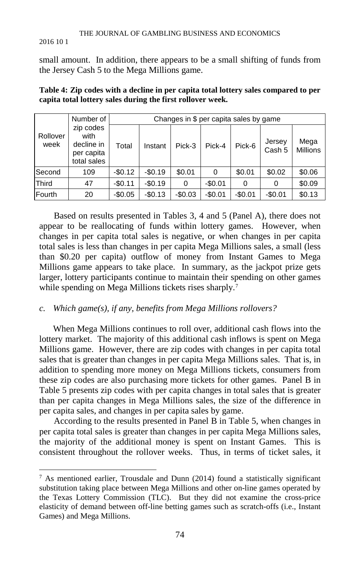#### THE JOURNAL OF GAMBLING BUSINESS AND ECONOMICS

#### 2016 10 1

small amount. In addition, there appears to be a small shifting of funds from the Jersey Cash 5 to the Mega Millions game.

|                  | Number of                                                    | Changes in \$ per capita sales by game |          |          |          |          |                  |                         |
|------------------|--------------------------------------------------------------|----------------------------------------|----------|----------|----------|----------|------------------|-------------------------|
| Rollover<br>week | zip codes<br>with<br>decline in<br>per capita<br>total sales | Total                                  | Instant  | Pick-3   | Pick-4   | Pick-6   | Jersey<br>Cash 5 | Mega<br><b>Millions</b> |
| Second           | 109                                                          | $-$0.12$                               | $-$0.19$ | \$0.01   | 0        | \$0.01   | \$0.02           | \$0.06                  |
| Third            | 47                                                           | $-$0.11$                               | $-$0.19$ | 0        | $-$0.01$ | 0        | 0                | \$0.09                  |
| Fourth           | 20                                                           | $-$0.05$                               | $-$0.13$ | $-$0.03$ | $-$0.01$ | $-$0.01$ | $-$0.01$         | \$0.13                  |

**Table 4: Zip codes with a decline in per capita total lottery sales compared to per capita total lottery sales during the first rollover week.**

Based on results presented in Tables 3, 4 and 5 (Panel A), there does not appear to be reallocating of funds within lottery games. However, when changes in per capita total sales is negative, or when changes in per capita total sales is less than changes in per capita Mega Millions sales, a small (less than \$0.20 per capita) outflow of money from Instant Games to Mega Millions game appears to take place. In summary, as the jackpot prize gets larger, lottery participants continue to maintain their spending on other games while spending on Mega Millions tickets rises sharply.<sup>[7](#page-10-0)</sup>

## *c. Which game(s), if any, benefits from Mega Millions rollovers?*

When Mega Millions continues to roll over, additional cash flows into the lottery market. The majority of this additional cash inflows is spent on Mega Millions game. However, there are zip codes with changes in per capita total sales that is greater than changes in per capita Mega Millions sales. That is, in addition to spending more money on Mega Millions tickets, consumers from these zip codes are also purchasing more tickets for other games. Panel B in Table 5 presents zip codes with per capita changes in total sales that is greater than per capita changes in Mega Millions sales, the size of the difference in per capita sales, and changes in per capita sales by game.

According to the results presented in Panel B in Table 5, when changes in per capita total sales is greater than changes in per capita Mega Millions sales, the majority of the additional money is spent on Instant Games. This is consistent throughout the rollover weeks. Thus, in terms of ticket sales, it

<span id="page-10-0"></span> $7$  As mentioned earlier, Trousdale and Dunn (2014) found a statistically significant substitution taking place between Mega Millions and other on-line games operated by the Texas Lottery Commission (TLC). But they did not examine the cross-price elasticity of demand between off-line betting games such as scratch-offs (i.e., Instant Games) and Mega Millions.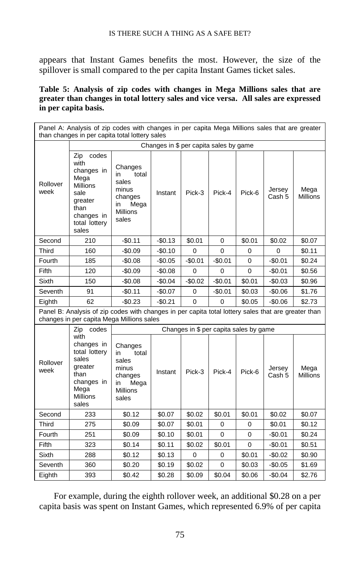appears that Instant Games benefits the most. However, the size of the spillover is small compared to the per capita Instant Games ticket sales.

## **Table 5: Analysis of zip codes with changes in Mega Millions sales that are greater than changes in total lottery sales and vice versa. All sales are expressed in per capita basis.**

|                  | Panel A: Analysis of zip codes with changes in per capita Mega Millions sales that are greater<br>than changes in per capita total lottery sales |                                                                                               |          |                |                                        |          |                  |                         |
|------------------|--------------------------------------------------------------------------------------------------------------------------------------------------|-----------------------------------------------------------------------------------------------|----------|----------------|----------------------------------------|----------|------------------|-------------------------|
|                  | Changes in \$ per capita sales by game                                                                                                           |                                                                                               |          |                |                                        |          |                  |                         |
| Rollover<br>week | codes<br>Zip<br>with<br>changes in<br>Mega<br><b>Millions</b><br>sale<br>greater<br>than<br>changes in<br>total lottery<br>sales                 | Changes<br>total<br>in<br>sales<br>minus<br>changes<br>Mega<br>in<br><b>Millions</b><br>sales | Instant  | Pick-3         | Pick-4                                 | Pick-6   | Jersey<br>Cash 5 | Mega<br><b>Millions</b> |
| Second           | 210                                                                                                                                              | $-$0.11$                                                                                      | $-$0.13$ | \$0.01         | 0                                      | \$0.01   | \$0.02           | \$0.07                  |
| Third            | 160                                                                                                                                              | -\$0.09                                                                                       | $-$0.10$ | 0              | 0                                      | 0        | 0                | \$0.11                  |
| Fourth           | 185                                                                                                                                              | $-$0.08$                                                                                      | $-$0.05$ | $-$0.01$       | $-$0.01$                               | $\Omega$ | $-$0.01$         | \$0.24                  |
| Fifth            | 120                                                                                                                                              | $-$0.09$                                                                                      | $-$0.08$ | 0              | 0                                      | 0        | $-$0.01$         | \$0.56                  |
| <b>Sixth</b>     | 150                                                                                                                                              | $-$0.08$                                                                                      | $-$0.04$ | $-$0.02$       | $-$0.01$                               | \$0.01   | $-$0.03$         | \$0.96                  |
| Seventh          | 91                                                                                                                                               | $-$0.11$                                                                                      | $-$0.07$ | 0              | $-$0.01$                               | \$0.03   | $-$0.06$         | \$1.76                  |
| Eighth           | 62                                                                                                                                               | $-$0.23$                                                                                      | $-$0.21$ | $\overline{0}$ | $\overline{0}$                         | \$0.05   | $-$0.06$         | \$2.73                  |
|                  | Panel B: Analysis of zip codes with changes in per capita total lottery sales that are greater than<br>changes in per capita Mega Millions sales |                                                                                               |          |                |                                        |          |                  |                         |
|                  | codes<br>Zip                                                                                                                                     |                                                                                               |          |                | Changes in \$ per capita sales by game |          |                  |                         |
| Rollover<br>week | with<br>changes in<br>total lottery<br>sales<br>greater<br>than<br>changes in<br>Mega<br>Millions<br>sales                                       | Changes<br>in<br>total<br>sales<br>minus<br>changes<br>Mega<br>in<br><b>Millions</b><br>sales | Instant  | Pick-3         | Pick-4                                 | Pick-6   | Jersey<br>Cash 5 | Mega<br><b>Millions</b> |
| Second           | 233                                                                                                                                              | \$0.12                                                                                        | \$0.07   | \$0.02         | \$0.01                                 | \$0.01   | \$0.02           | \$0.07                  |
| Third            | 275                                                                                                                                              | \$0.09                                                                                        | \$0.07   | \$0.01         | 0                                      | 0        | \$0.01           | \$0.12                  |
| Fourth           | 251                                                                                                                                              | \$0.09                                                                                        | \$0.10   | \$0.01         | 0                                      | 0        | $-$0.01$         | \$0.24                  |
| Fifth            | 323                                                                                                                                              | \$0.14                                                                                        | \$0.11   | \$0.02         | \$0.01                                 | 0        | $-$0.01$         | \$0.51                  |
| Sixth            | 288                                                                                                                                              | \$0.12                                                                                        | \$0.13   | 0              | $\mathbf 0$                            | \$0.01   | $-$0.02$         | \$0.90                  |
| Seventh          | 360                                                                                                                                              | \$0.20                                                                                        | \$0.19   | \$0.02         | 0                                      | \$0.03   | $-$0.05$         | \$1.69                  |
| Eighth           | 393                                                                                                                                              | \$0.42                                                                                        | \$0.28   | \$0.09         | \$0.04                                 | \$0.06   | $-$0.04$         | \$2.76                  |

For example, during the eighth rollover week, an additional \$0.28 on a per capita basis was spent on Instant Games, which represented 6.9% of per capita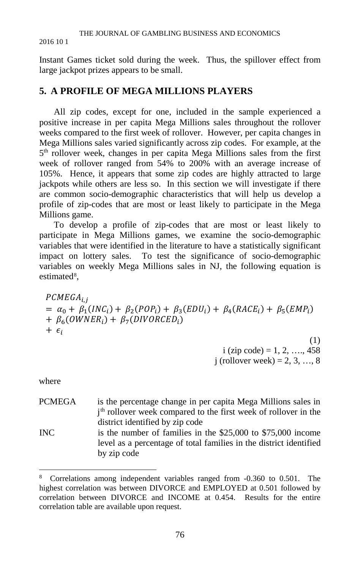#### THE JOURNAL OF GAMBLING BUSINESS AND ECONOMICS

#### 2016 10 1

Instant Games ticket sold during the week. Thus, the spillover effect from large jackpot prizes appears to be small.

# **5. A PROFILE OF MEGA MILLIONS PLAYERS**

All zip codes, except for one, included in the sample experienced a positive increase in per capita Mega Millions sales throughout the rollover weeks compared to the first week of rollover. However, per capita changes in Mega Millions sales varied significantly across zip codes. For example, at the 5th rollover week, changes in per capita Mega Millions sales from the first week of rollover ranged from 54% to 200% with an average increase of 105%. Hence, it appears that some zip codes are highly attracted to large jackpots while others are less so. In this section we will investigate if there are common socio-demographic characteristics that will help us develop a profile of zip-codes that are most or least likely to participate in the Mega Millions game.

To develop a profile of zip-codes that are most or least likely to participate in Mega Millions games, we examine the socio-demographic variables that were identified in the literature to have a statistically significant impact on lottery sales. To test the significance of socio-demographic variables on weekly Mega Millions sales in NJ, the following equation is estimated<sup>[8](#page-12-0)</sup>,

 $PCMEGA_{i,i}$  $= \alpha_0 + \beta_1 (INC_i) + \beta_2 (POP_i) + \beta_3 (EDU_i) + \beta_4 (RACE_i) + \beta_5 (EMP_i)$ +  $\beta_6$ (*OWNER<sub>i</sub>*) +  $\beta_7$ (*DIVORCED<sub>i</sub>*)  $+$   $\epsilon_i$ 

(1)  $i$  (zip code) = 1, 2, ..., 458 j (rollover week) = 2, 3, ..., 8

where

- PCMEGA is the percentage change in per capita Mega Millions sales in j th rollover week compared to the first week of rollover in the district identified by zip code
- INC is the number of families in the \$25,000 to \$75,000 income level as a percentage of total families in the district identified by zip code

<span id="page-12-0"></span> <sup>8</sup> Correlations among independent variables ranged from -0.360 to 0.501. The highest correlation was between DIVORCE and EMPLOYED at 0.501 followed by correlation between DIVORCE and INCOME at 0.454. Results for the entire correlation table are available upon request.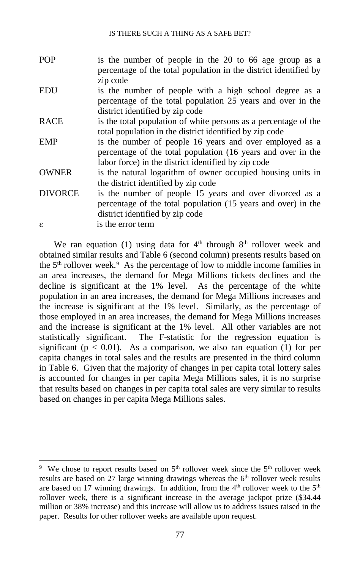POP is the number of people in the 20 to 66 age group as a percentage of the total population in the district identified by zip code EDU is the number of people with a high school degree as a percentage of the total population 25 years and over in the district identified by zip code RACE is the total population of white persons as a percentage of the total population in the district identified by zip code EMP is the number of people 16 years and over employed as a percentage of the total population (16 years and over in the labor force) in the district identified by zip code OWNER is the natural logarithm of owner occupied housing units in the district identified by zip code DIVORCE is the number of people 15 years and over divorced as a percentage of the total population (15 years and over) in the district identified by zip code ε is the error term

We ran equation (1) using data for  $4<sup>th</sup>$  through  $8<sup>th</sup>$  rollover week and obtained similar results and Table 6 (second column) presents results based on the  $5<sup>th</sup>$  rollover week.<sup>[9](#page-13-0)</sup> As the percentage of low to middle income families in an area increases, the demand for Mega Millions tickets declines and the decline is significant at the 1% level. As the percentage of the white population in an area increases, the demand for Mega Millions increases and the increase is significant at the 1% level. Similarly, as the percentage of those employed in an area increases, the demand for Mega Millions increases and the increase is significant at the 1% level. All other variables are not statistically significant. The F-statistic for the regression equation is significant ( $p < 0.01$ ). As a comparison, we also ran equation (1) for per capita changes in total sales and the results are presented in the third column in Table 6. Given that the majority of changes in per capita total lottery sales is accounted for changes in per capita Mega Millions sales, it is no surprise that results based on changes in per capita total sales are very similar to results based on changes in per capita Mega Millions sales.

<span id="page-13-0"></span> <sup>9</sup> <sup>9</sup> We chose to report results based on  $5<sup>th</sup>$  rollover week since the  $5<sup>th</sup>$  rollover week results are based on 27 large winning drawings whereas the 6<sup>th</sup> rollover week results are based on 17 winning drawings. In addition, from the  $4<sup>th</sup>$  rollover week to the  $5<sup>th</sup>$ rollover week, there is a significant increase in the average jackpot prize (\$34.44 million or 38% increase) and this increase will allow us to address issues raised in the paper. Results for other rollover weeks are available upon request.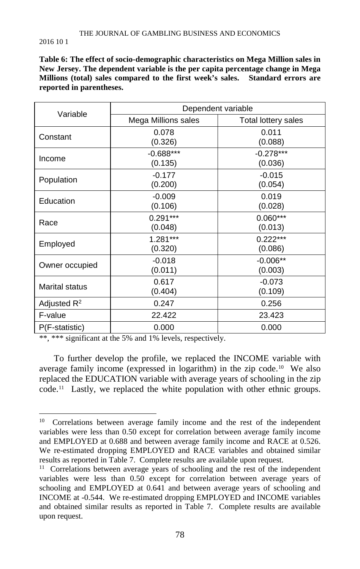**Table 6: The effect of socio-demographic characteristics on Mega Million sales in New Jersey. The dependent variable is the per capita percentage change in Mega Millions (total) sales compared to the first week's sales. Standard errors are reported in parentheses.**

| Variable              | Dependent variable     |                        |  |  |  |
|-----------------------|------------------------|------------------------|--|--|--|
|                       | Mega Millions sales    | Total lottery sales    |  |  |  |
| Constant              | 0.078<br>(0.326)       | 0.011<br>(0.088)       |  |  |  |
| Income                | $-0.688***$<br>(0.135) | $-0.278***$<br>(0.036) |  |  |  |
| Population            | $-0.177$<br>(0.200)    | $-0.015$<br>(0.054)    |  |  |  |
| Education             | $-0.009$<br>(0.106)    | 0.019<br>(0.028)       |  |  |  |
| Race                  | $0.291***$<br>(0.048)  | $0.060***$<br>(0.013)  |  |  |  |
| Employed              | $1.281***$<br>(0.320)  | $0.222***$<br>(0.086)  |  |  |  |
| Owner occupied        | $-0.018$<br>(0.011)    | $-0.006**$<br>(0.003)  |  |  |  |
| <b>Marital status</b> | 0.617<br>(0.404)       | $-0.073$<br>(0.109)    |  |  |  |
| Adjusted $R^2$        | 0.247                  | 0.256                  |  |  |  |
| F-value               | 22.422                 | 23.423                 |  |  |  |
| P(F-statistic)        | 0.000                  | 0.000                  |  |  |  |

\*\*, \*\*\* significant at the 5% and 1% levels, respectively.

To further develop the profile, we replaced the INCOME variable with average family income (expressed in logarithm) in the zip code.<sup>10</sup> We also replaced the EDUCATION variable with average years of schooling in the zip code.[11](#page-14-1) Lastly, we replaced the white population with other ethnic groups.

<span id="page-14-0"></span><sup>&</sup>lt;sup>10</sup> Correlations between average family income and the rest of the independent variables were less than 0.50 except for correlation between average family income and EMPLOYED at 0.688 and between average family income and RACE at 0.526. We re-estimated dropping EMPLOYED and RACE variables and obtained similar results as reported in Table 7. Complete results are available upon request.

<span id="page-14-1"></span><sup>&</sup>lt;sup>11</sup> Correlations between average years of schooling and the rest of the independent variables were less than 0.50 except for correlation between average years of schooling and EMPLOYED at 0.641 and between average years of schooling and INCOME at -0.544. We re-estimated dropping EMPLOYED and INCOME variables and obtained similar results as reported in Table 7. Complete results are available upon request.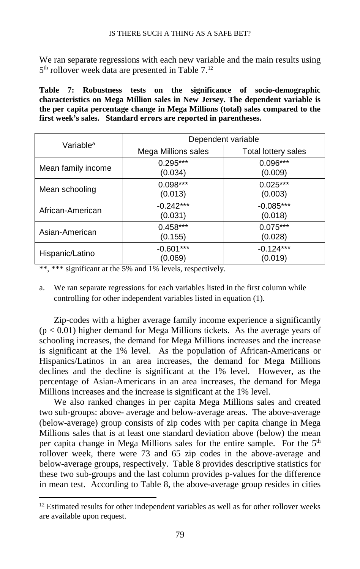We ran separate regressions with each new variable and the main results using 5<sup>th</sup> rollover week data are presented in Table 7.<sup>12</sup>

**Table 7: Robustness tests on the significance of socio-demographic characteristics on Mega Million sales in New Jersey. The dependent variable is the per capita percentage change in Mega Millions (total) sales compared to the first week's sales. Standard errors are reported in parentheses.**

| Variable <sup>a</sup> | Dependent variable     |                        |  |  |
|-----------------------|------------------------|------------------------|--|--|
|                       | Mega Millions sales    | Total lottery sales    |  |  |
| Mean family income    | $0.295***$<br>(0.034)  | $0.096***$<br>(0.009)  |  |  |
| Mean schooling        | $0.098***$<br>(0.013)  | $0.025***$<br>(0.003)  |  |  |
| African-American      | $-0.242***$<br>(0.031) | $-0.085***$<br>(0.018) |  |  |
| Asian-American        | $0.458***$<br>(0.155)  | $0.075***$<br>(0.028)  |  |  |
| Hispanic/Latino       | $-0.601***$<br>(0.069) | $-0.124***$<br>(0.019) |  |  |

\*\*, \*\*\* significant at the 5% and 1% levels, respectively.

a. We ran separate regressions for each variables listed in the first column while controlling for other independent variables listed in equation (1).

Zip-codes with a higher average family income experience a significantly  $(p < 0.01)$  higher demand for Mega Millions tickets. As the average years of schooling increases, the demand for Mega Millions increases and the increase is significant at the 1% level. As the population of African-Americans or Hispanics/Latinos in an area increases, the demand for Mega Millions declines and the decline is significant at the 1% level. However, as the percentage of Asian-Americans in an area increases, the demand for Mega Millions increases and the increase is significant at the 1% level.

We also ranked changes in per capita Mega Millions sales and created two sub-groups: above- average and below-average areas. The above-average (below-average) group consists of zip codes with per capita change in Mega Millions sales that is at least one standard deviation above (below) the mean per capita change in Mega Millions sales for the entire sample. For the  $5<sup>th</sup>$ rollover week, there were 73 and 65 zip codes in the above-average and below-average groups, respectively. Table 8 provides descriptive statistics for these two sub-groups and the last column provides p-values for the difference in mean test. According to Table 8, the above-average group resides in cities

<span id="page-15-0"></span> $12$  Estimated results for other independent variables as well as for other rollover weeks are available upon request.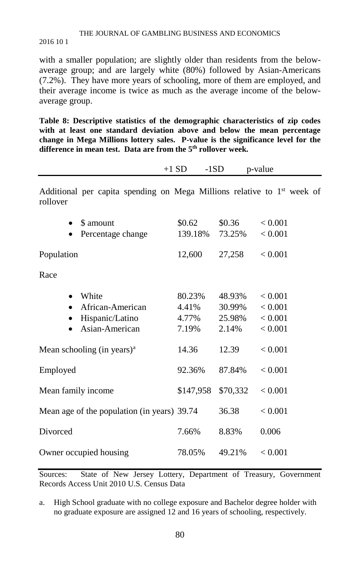## THE JOURNAL OF GAMBLING BUSINESS AND ECONOMICS

#### 2016 10 1

with a smaller population; are slightly older than residents from the belowaverage group; and are largely white (80%) followed by Asian-Americans (7.2%). They have more years of schooling, more of them are employed, and their average income is twice as much as the average income of the belowaverage group.

**Table 8: Descriptive statistics of the demographic characteristics of zip codes with at least one standard deviation above and below the mean percentage change in Mega Millions lottery sales. P-value is the significance level for the difference in mean test. Data are from the 5th rollover week.** 

|                    |                                                                                     | $+1$ SD<br>$-1SD$                 |                                     | p-value                                  |
|--------------------|-------------------------------------------------------------------------------------|-----------------------------------|-------------------------------------|------------------------------------------|
| rollover           | Additional per capita spending on Mega Millions relative to 1 <sup>st</sup> week of |                                   |                                     |                                          |
|                    | \$ amount<br>Percentage change                                                      | \$0.62<br>139.18%                 | \$0.36<br>73.25%                    | < 0.001<br>< 0.001                       |
| Population         |                                                                                     | 12,600                            | 27,258                              | < 0.001                                  |
| Race               |                                                                                     |                                   |                                     |                                          |
|                    | White<br>African-American<br>Hispanic/Latino<br>Asian-American                      | 80.23%<br>4.41%<br>4.77%<br>7.19% | 48.93%<br>30.99%<br>25.98%<br>2.14% | < 0.001<br>< 0.001<br>< 0.001<br>< 0.001 |
|                    | Mean schooling (in years) $a$                                                       | 14.36                             | 12.39                               | < 0.001                                  |
| Employed           |                                                                                     | 92.36%                            | 87.84%                              | < 0.001                                  |
| Mean family income |                                                                                     | \$147,958                         | \$70,332                            | < 0.001                                  |
|                    | Mean age of the population (in years) 39.74                                         |                                   | 36.38                               | < 0.001                                  |
| Divorced           |                                                                                     | 7.66%                             | 8.83%                               | 0.006                                    |
|                    | Owner occupied housing                                                              | 78.05%                            | 49.21%                              | < 0.001                                  |

Sources: State of New Jersey Lottery, Department of Treasury, Government Records Access Unit 2010 U.S. Census Data

a. High School graduate with no college exposure and Bachelor degree holder with no graduate exposure are assigned 12 and 16 years of schooling, respectively.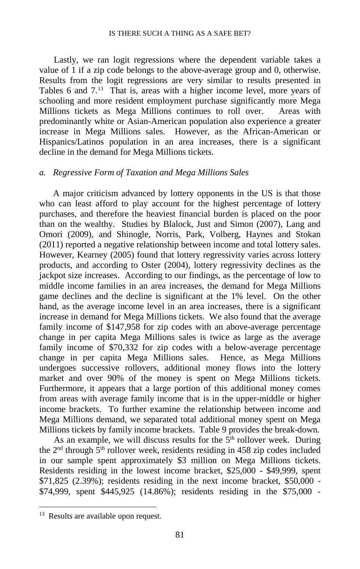Lastly, we ran logit regressions where the dependent variable takes a value of 1 if a zip code belongs to the above-average group and 0, otherwise. Results from the logit regressions are very similar to results presented in Tables 6 and  $7<sup>13</sup>$  That is, areas with a higher income level, more years of schooling and more resident employment purchase significantly more Mega Millions tickets as Mega Millions continues to roll over. Areas with predominantly white or Asian-American population also experience a greater increase in Mega Millions sales. However, as the African-American or Hispanics/Latinos population in an area increases, there is a significant decline in the demand for Mega Millions tickets.

## *a. Regressive Form of Taxation and Mega Millions Sales*

A major criticism advanced by lottery opponents in the US is that those who can least afford to play account for the highest percentage of lottery purchases, and therefore the heaviest financial burden is placed on the poor than on the wealthy. Studies by Blalock, Just and Simon (2007), Lang and Omori (2009), and Shinogle, Norris, Park, Volberg, Haynes and Stokan (2011) reported a negative relationship between income and total lottery sales. However, Kearney (2005) found that lottery regressivity varies across lottery products, and according to Oster (2004), lottery regressivity declines as the jackpot size increases. According to our findings, as the percentage of low to middle income families in an area increases, the demand for Mega Millions game declines and the decline is significant at the 1% level. On the other hand, as the average income level in an area increases, there is a significant increase in demand for Mega Millions tickets. We also found that the average family income of \$147,958 for zip codes with an above-average percentage change in per capita Mega Millions sales is twice as large as the average family income of \$70,332 for zip codes with a below-average percentage change in per capita Mega Millions sales. Hence, as Mega Millions undergoes successive rollovers, additional money flows into the lottery market and over 90% of the money is spent on Mega Millions tickets. Furthermore, it appears that a large portion of this additional money comes from areas with average family income that is in the upper-middle or higher income brackets. To further examine the relationship between income and Mega Millions demand, we separated total additional money spent on Mega Millions tickets by family income brackets. Table 9 provides the break-down.

As an example, we will discuss results for the  $5<sup>th</sup>$  rollover week. During the  $2<sup>nd</sup>$  through  $5<sup>th</sup>$  rollover week, residents residing in 458 zip codes included in our sample spent approximately \$3 million on Mega Millions tickets. Residents residing in the lowest income bracket, \$25,000 - \$49,999, spent \$71,825 (2.39%); residents residing in the next income bracket, \$50,000 - \$74,999, spent \$445,925 (14.86%); residents residing in the \$75,000 -

<span id="page-17-0"></span><sup>&</sup>lt;sup>13</sup> Results are available upon request.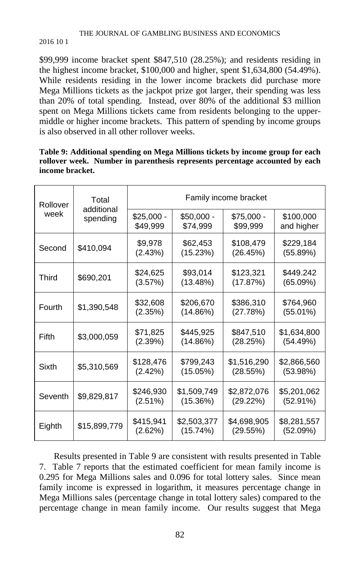## THE JOURNAL OF GAMBLING BUSINESS AND ECONOMICS

### 2016 10 1

\$99,999 income bracket spent \$847,510 (28.25%); and residents residing in the highest income bracket, \$100,000 and higher, spent \$1,634,800 (54.49%). While residents residing in the lower income brackets did purchase more Mega Millions tickets as the jackpot prize got larger, their spending was less than 20% of total spending. Instead, over 80% of the additional \$3 million spent on Mega Millions tickets came from residents belonging to the uppermiddle or higher income brackets. This pattern of spending by income groups is also observed in all other rollover weeks.

|                 | Table 9: Additional spending on Mega Millions tickets by income group for each |
|-----------------|--------------------------------------------------------------------------------|
|                 | rollover week. Number in parenthesis represents percentage accounted by each   |
| income bracket. |                                                                                |

| Rollover | Total<br>additional |                         | Family income bracket   |                         |                         |  |  |  |
|----------|---------------------|-------------------------|-------------------------|-------------------------|-------------------------|--|--|--|
| week     | spending            | $$25,000 -$<br>\$49.999 | $$50,000 -$<br>\$74.999 | $$75,000 -$<br>\$99,999 | \$100,000<br>and higher |  |  |  |
| Second   | \$410,094           | \$9,978<br>(2.43%)      | \$62,453<br>(15.23%)    | \$108,479<br>(26.45%)   | \$229,184<br>(55.89%)   |  |  |  |
| Third    | \$690,201           | \$24,625<br>(3.57%)     | \$93,014<br>(13.48%)    | \$123,321<br>(17.87%)   | \$449.242<br>(65.09%)   |  |  |  |
| Fourth   | \$1,390,548         | \$32,608<br>(2.35%)     | \$206,670<br>(14.86%)   | \$386,310<br>(27.78%)   | \$764,960<br>(55.01%)   |  |  |  |
| Fifth    | \$3,000,059         | \$71,825<br>(2.39%)     | \$445,925<br>(14.86%)   | \$847,510<br>(28.25%)   | \$1,634,800<br>(54.49%) |  |  |  |
| Sixth    | \$5,310,569         | \$128,476<br>(2.42%)    | \$799,243<br>(15.05%)   | \$1,516,290<br>(28.55%) | \$2,866,560<br>(53.98%) |  |  |  |
| Seventh  | \$9,829,817         | \$246,930<br>(2.51%)    | \$1,509,749<br>(15.36%) | \$2,872,076<br>(29.22%) | \$5,201,062<br>(52.91%) |  |  |  |
| Eighth   | \$15,899,779        | \$415,941<br>(2.62%)    | \$2,503,377<br>(15.74%) | \$4,698,905<br>(29.55%) | \$8,281,557<br>(52.09%) |  |  |  |

Results presented in Table 9 are consistent with results presented in Table 7. Table 7 reports that the estimated coefficient for mean family income is 0.295 for Mega Millions sales and 0.096 for total lottery sales. Since mean family income is expressed in logarithm, it measures percentage change in Mega Millions sales (percentage change in total lottery sales) compared to the percentage change in mean family income. Our results suggest that Mega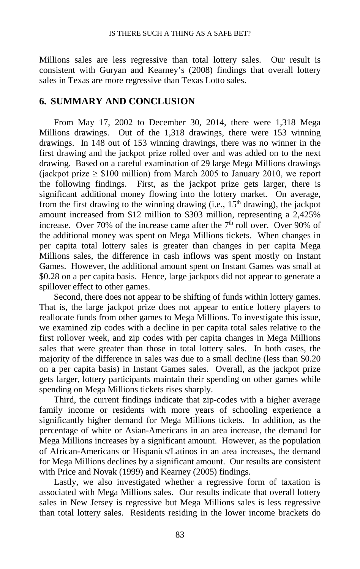Millions sales are less regressive than total lottery sales. Our result is consistent with Guryan and Kearney's (2008) findings that overall lottery sales in Texas are more regressive than Texas Lotto sales.

## **6. SUMMARY AND CONCLUSION**

From May 17, 2002 to December 30, 2014, there were 1,318 Mega Millions drawings. Out of the 1,318 drawings, there were 153 winning drawings. In 148 out of 153 winning drawings, there was no winner in the first drawing and the jackpot prize rolled over and was added on to the next drawing. Based on a careful examination of 29 large Mega Millions drawings (jackpot prize  $\geq$  \$100 million) from March 2005 to January 2010, we report the following findings. First, as the jackpot prize gets larger, there is significant additional money flowing into the lottery market. On average, from the first drawing to the winning drawing (i.e.,  $15<sup>th</sup>$  drawing), the jackpot amount increased from \$12 million to \$303 million, representing a 2,425% increase. Over 70% of the increase came after the  $7<sup>th</sup>$  roll over. Over 90% of the additional money was spent on Mega Millions tickets. When changes in per capita total lottery sales is greater than changes in per capita Mega Millions sales, the difference in cash inflows was spent mostly on Instant Games. However, the additional amount spent on Instant Games was small at \$0.28 on a per capita basis. Hence, large jackpots did not appear to generate a spillover effect to other games.

Second, there does not appear to be shifting of funds within lottery games. That is, the large jackpot prize does not appear to entice lottery players to reallocate funds from other games to Mega Millions. To investigate this issue, we examined zip codes with a decline in per capita total sales relative to the first rollover week, and zip codes with per capita changes in Mega Millions sales that were greater than those in total lottery sales. In both cases, the majority of the difference in sales was due to a small decline (less than \$0.20 on a per capita basis) in Instant Games sales. Overall, as the jackpot prize gets larger, lottery participants maintain their spending on other games while spending on Mega Millions tickets rises sharply.

Third, the current findings indicate that zip-codes with a higher average family income or residents with more years of schooling experience a significantly higher demand for Mega Millions tickets. In addition, as the percentage of white or Asian-Americans in an area increase, the demand for Mega Millions increases by a significant amount. However, as the population of African-Americans or Hispanics/Latinos in an area increases, the demand for Mega Millions declines by a significant amount. Our results are consistent with Price and Novak (1999) and Kearney (2005) findings.

Lastly, we also investigated whether a regressive form of taxation is associated with Mega Millions sales. Our results indicate that overall lottery sales in New Jersey is regressive but Mega Millions sales is less regressive than total lottery sales. Residents residing in the lower income brackets do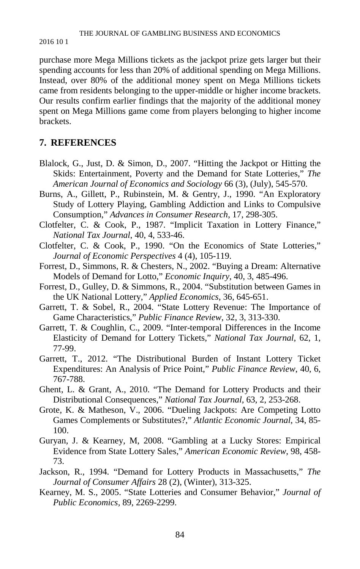purchase more Mega Millions tickets as the jackpot prize gets larger but their spending accounts for less than 20% of additional spending on Mega Millions. Instead, over 80% of the additional money spent on Mega Millions tickets came from residents belonging to the upper-middle or higher income brackets. Our results confirm earlier findings that the majority of the additional money spent on Mega Millions game come from players belonging to higher income brackets.

# **7. REFERENCES**

- Blalock, G., Just, D. & Simon, D., 2007. "Hitting the Jackpot or Hitting the Skids: Entertainment, Poverty and the Demand for State Lotteries," *The American Journal of Economics and Sociology* 66 (3), (July), 545-570.
- Burns, A., Gillett, P., Rubinstein, M. & Gentry, J., 1990. "An Exploratory Study of Lottery Playing, Gambling Addiction and Links to Compulsive Consumption," *Advances in Consumer Research*, 17, 298-305.
- Clotfelter, C. & Cook, P., 1987. "Implicit Taxation in Lottery Finance," *National Tax Journal*, 40, 4, 533-46.
- Clotfelter, C. & Cook, P., 1990. "On the Economics of State Lotteries," *Journal of Economic Perspectives* 4 (4), 105-119.
- Forrest, D., Simmons, R. & Chesters, N., 2002. "Buying a Dream: Alternative Models of Demand for Lotto," *Economic Inquiry*, 40, 3, 485-496.
- Forrest, D., Gulley, D. & Simmons, R., 2004. "Substitution between Games in the UK National Lottery," *Applied Economics*, 36, 645-651.
- Garrett, T. & Sobel, R., 2004. "State Lottery Revenue: The Importance of Game Characteristics," *Public Finance Review*, 32, 3, 313-330.
- Garrett, T. & Coughlin, C., 2009. "Inter-temporal Differences in the Income Elasticity of Demand for Lottery Tickets," *National Tax Journal*, 62, 1, 77-99.
- Garrett, T., 2012. "The Distributional Burden of Instant Lottery Ticket Expenditures: An Analysis of Price Point," *Public Finance Review*, 40, 6, 767-788.
- Ghent, L. & Grant, A., 2010. "The Demand for Lottery Products and their Distributional Consequences," *National Tax Journal*, 63, 2, 253-268.
- Grote, K. & Matheson, V., 2006. "Dueling Jackpots: Are Competing Lotto Games Complements or Substitutes?," *Atlantic Economic Journal*, 34, 85- 100.
- Guryan, J. & Kearney, M, 2008. "Gambling at a Lucky Stores: Empirical Evidence from State Lottery Sales," *American Economic Review*, 98, 458- 73.
- Jackson, R., 1994. "Demand for Lottery Products in Massachusetts," *The Journal of Consumer Affairs* 28 (2), (Winter), 313-325.
- Kearney, M. S., 2005. "State Lotteries and Consumer Behavior," *Journal of Public Economics,* 89, 2269-2299.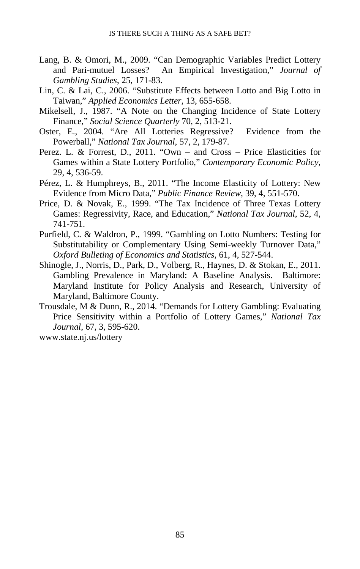- Lang, B. & Omori, M., 2009. "Can Demographic Variables Predict Lottery and Pari-mutuel Losses? An Empirical Investigation," *Journal of Gambling Studies*, 25, 171-83.
- Lin, C. & Lai, C., 2006. "Substitute Effects between Lotto and Big Lotto in Taiwan," *Applied Economics Letter*, 13, 655-658.
- Mikelsell, J., 1987. "A Note on the Changing Incidence of State Lottery Finance," *Social Science Quarterly* 70, 2, 513-21.
- Oster, E., 2004. "Are All Lotteries Regressive? Evidence from the Powerball," *National Tax Journal*, 57, 2, 179-87.
- Perez. L. & Forrest, D., 2011. "Own and Cross Price Elasticities for Games within a State Lottery Portfolio," *Contemporary Economic Policy*, 29, 4, 536-59.
- Pérez, L. & Humphreys, B., 2011. "The Income Elasticity of Lottery: New Evidence from Micro Data," *Public Finance Review*, 39, 4, 551-570.
- Price, D. & Novak, E., 1999. "The Tax Incidence of Three Texas Lottery Games: Regressivity, Race, and Education," *National Tax Journal*, 52, 4, 741-751.
- Purfield, C. & Waldron, P., 1999. "Gambling on Lotto Numbers: Testing for Substitutability or Complementary Using Semi-weekly Turnover Data," *Oxford Bulleting of Economics and Statistics*, 61, 4, 527-544.
- Shinogle, J., Norris, D., Park, D., Volberg, R., Haynes, D. & Stokan, E., 2011. Gambling Prevalence in Maryland: A Baseline Analysis. Baltimore: Maryland Institute for Policy Analysis and Research, University of Maryland, Baltimore County.
- Trousdale, M & Dunn, R., 2014. "Demands for Lottery Gambling: Evaluating Price Sensitivity within a Portfolio of Lottery Games," *National Tax Journal*, 67, 3, 595-620.

www.state.nj.us/lottery